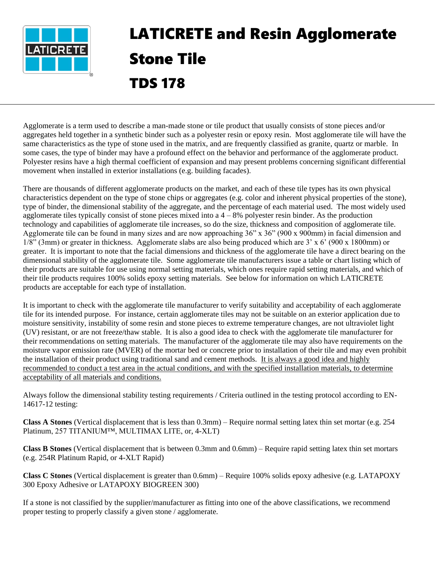

# LATICRETE and Resin Agglomerate Stone Tile TDS 178

Agglomerate is a term used to describe a man-made stone or tile product that usually consists of stone pieces and/or aggregates held together in a synthetic binder such as a polyester resin or epoxy resin. Most agglomerate tile will have the same characteristics as the type of stone used in the matrix, and are frequently classified as granite, quartz or marble. In some cases, the type of binder may have a profound effect on the behavior and performance of the agglomerate product. Polyester resins have a high thermal coefficient of expansion and may present problems concerning significant differential movement when installed in exterior installations (e.g. building facades).

There are thousands of different agglomerate products on the market, and each of these tile types has its own physical characteristics dependent on the type of stone chips or aggregates (e.g. color and inherent physical properties of the stone), type of binder, the dimensional stability of the aggregate, and the percentage of each material used. The most widely used agglomerate tiles typically consist of stone pieces mixed into a  $4 - 8\%$  polyester resin binder. As the production technology and capabilities of agglomerate tile increases, so do the size, thickness and composition of agglomerate tile. Agglomerate tile can be found in many sizes and are now approaching 36" x 36" (900 x 900mm) in facial dimension and 1/8" (3mm) or greater in thickness. Agglomerate slabs are also being produced which are 3' x 6' (900 x 1800mm) or greater. It is important to note that the facial dimensions and thickness of the agglomerate tile have a direct bearing on the dimensional stability of the agglomerate tile. Some agglomerate tile manufacturers issue a table or chart listing which of their products are suitable for use using normal setting materials, which ones require rapid setting materials, and which of their tile products requires 100% solids epoxy setting materials. See below for information on which LATICRETE products are acceptable for each type of installation.

It is important to check with the agglomerate tile manufacturer to verify suitability and acceptability of each agglomerate tile for its intended purpose. For instance, certain agglomerate tiles may not be suitable on an exterior application due to moisture sensitivity, instability of some resin and stone pieces to extreme temperature changes, are not ultraviolet light (UV) resistant, or are not freeze/thaw stable. It is also a good idea to check with the agglomerate tile manufacturer for their recommendations on setting materials. The manufacturer of the agglomerate tile may also have requirements on the moisture vapor emission rate (MVER) of the mortar bed or concrete prior to installation of their tile and may even prohibit the installation of their product using traditional sand and cement methods. It is always a good idea and highly recommended to conduct a test area in the actual conditions, and with the specified installation materials, to determine acceptability of all materials and conditions.

Always follow the dimensional stability testing requirements / Criteria outlined in the testing protocol according to EN-14617-12 testing:

**Class A Stones** (Vertical displacement that is less than 0.3mm) – Require normal setting latex thin set mortar (e.g. 254 Platinum, 257 TITANIUM™, MULTIMAX LITE, or, 4-XLT)

**Class B Stones** (Vertical displacement that is between 0.3mm and 0.6mm) – Require rapid setting latex thin set mortars (e.g. 254R Platinum Rapid, or 4-XLT Rapid)

**Class C Stones** (Vertical displacement is greater than 0.6mm) – Require 100% solids epoxy adhesive (e.g. LATAPOXY 300 Epoxy Adhesive or LATAPOXY BIOGREEN 300)

If a stone is not classified by the supplier/manufacturer as fitting into one of the above classifications, we recommend proper testing to properly classify a given stone / agglomerate.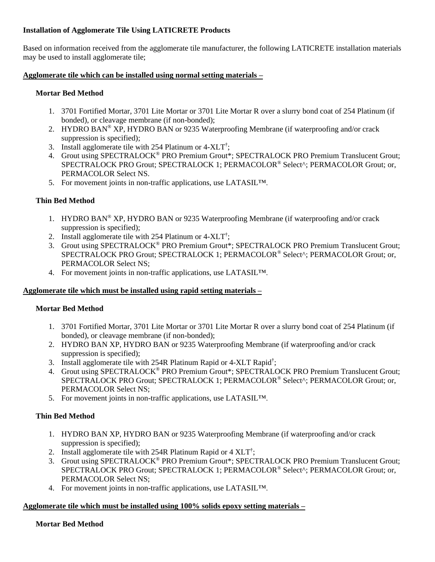#### **Installation of Agglomerate Tile Using LATICRETE Products**

Based on information received from the agglomerate tile manufacturer, the following LATICRETE installation materials may be used to install agglomerate tile;

#### **Agglomerate tile which can be installed using normal setting materials –**

#### **Mortar Bed Method**

- 1. 3701 Fortified Mortar, 3701 Lite Mortar or 3701 Lite Mortar R over a slurry bond coat of 254 Platinum (if bonded), or cleavage membrane (if non-bonded);
- 2. HYDRO BAN® XP, HYDRO BAN or 9235 Waterproofing Membrane (if waterproofing and/or crack suppression is specified);
- 3. Install agglomerate tile with 254 Platinum or 4-XLT<sup>†</sup>;
- 4. Grout using SPECTRALOCK<sup>®</sup> PRO Premium Grout\*; SPECTRALOCK PRO Premium Translucent Grout; SPECTRALOCK PRO Grout; SPECTRALOCK 1; PERMACOLOR® Select^; PERMACOLOR Grout; or, PERMACOLOR Select NS.
- 5. For movement joints in non-traffic applications, use LATASIL™.

### **Thin Bed Method**

- 1. HYDRO BAN® XP, HYDRO BAN or 9235 Waterproofing Membrane (if waterproofing and/or crack suppression is specified);
- 2. Install agglomerate tile with 254 Platinum or  $4-XLT^{\dagger}$ ;
- 3. Grout using SPECTRALOCK® PRO Premium Grout\*; SPECTRALOCK PRO Premium Translucent Grout; SPECTRALOCK PRO Grout; SPECTRALOCK 1; PERMACOLOR® Select^; PERMACOLOR Grout; or, PERMACOLOR Select NS;
- 4. For movement joints in non-traffic applications, use LATASIL™.

#### **Agglomerate tile which must be installed using rapid setting materials –**

#### **Mortar Bed Method**

- 1. 3701 Fortified Mortar, 3701 Lite Mortar or 3701 Lite Mortar R over a slurry bond coat of 254 Platinum (if bonded), or cleavage membrane (if non-bonded);
- 2. HYDRO BAN XP, HYDRO BAN or 9235 Waterproofing Membrane (if waterproofing and/or crack suppression is specified);
- 3. Install agglomerate tile with 254R Platinum Rapid or 4-XLT Rapid<sup>†</sup>;
- 4. Grout using SPECTRALOCK<sup>®</sup> PRO Premium Grout\*; SPECTRALOCK PRO Premium Translucent Grout; SPECTRALOCK PRO Grout; SPECTRALOCK 1; PERMACOLOR® Select^; PERMACOLOR Grout; or, PERMACOLOR Select NS;
- 5. For movement joints in non-traffic applications, use LATASIL™.

## **Thin Bed Method**

- 1. HYDRO BAN XP, HYDRO BAN or 9235 Waterproofing Membrane (if waterproofing and/or crack suppression is specified);
- 2. Install agglomerate tile with 254R Platinum Rapid or  $4 \text{ XLT}^{\dagger}$ ;
- 3. Grout using SPECTRALOCK® PRO Premium Grout\*; SPECTRALOCK PRO Premium Translucent Grout; SPECTRALOCK PRO Grout; SPECTRALOCK 1; PERMACOLOR® Select^; PERMACOLOR Grout; or, PERMACOLOR Select NS;
- 4. For movement joints in non-traffic applications, use LATASIL™.

#### **Agglomerate tile which must be installed using 100% solids epoxy setting materials –**

#### **Mortar Bed Method**